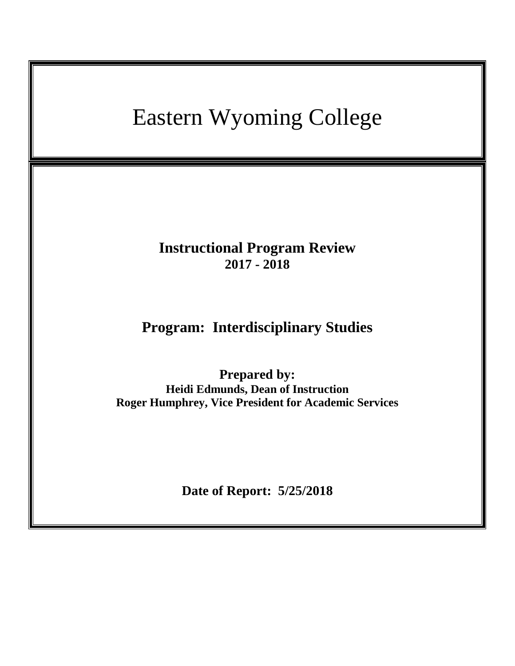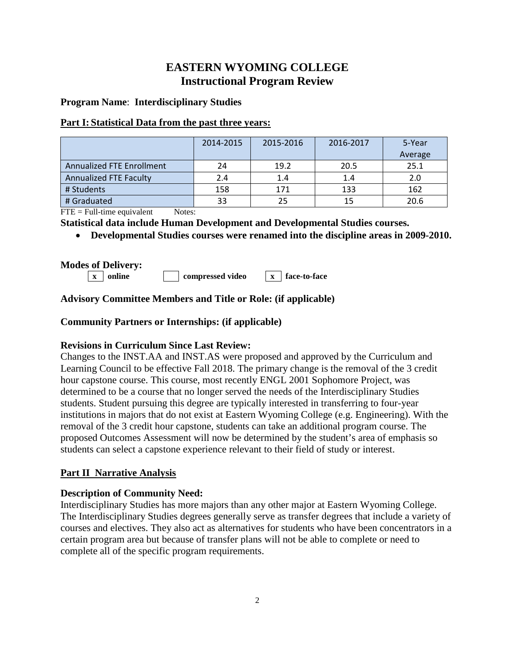# **EASTERN WYOMING COLLEGE Instructional Program Review**

### **Program Name**: **Interdisciplinary Studies**

#### **Part I: Statistical Data from the past three years:**

|                                  | 2014-2015 | 2015-2016 | 2016-2017 | 5-Year  |
|----------------------------------|-----------|-----------|-----------|---------|
|                                  |           |           |           | Average |
| <b>Annualized FTE Enrollment</b> | 24        | 19.2      | 20.5      | 25.1    |
| Annualized FTE Faculty           | 2.4       | 1.4       | 1.4       | 2.0     |
| # Students                       | 158       | 171       | 133       | 162     |
| # Graduated                      | 33        | 25        | 15        | 20.6    |

 $\text{FTE} = \text{Full-time equivalent}$  Notes:

**Statistical data include Human Development and Developmental Studies courses.**

• **Developmental Studies courses were renamed into the discipline areas in 2009-2010.**

### **Modes of Delivery:**

**x online compressed video x face-to-face**

# **Advisory Committee Members and Title or Role: (if applicable)**

# **Community Partners or Internships: (if applicable)**

# **Revisions in Curriculum Since Last Review:**

Changes to the INST.AA and INST.AS were proposed and approved by the Curriculum and Learning Council to be effective Fall 2018. The primary change is the removal of the 3 credit hour capstone course. This course, most recently ENGL 2001 Sophomore Project, was determined to be a course that no longer served the needs of the Interdisciplinary Studies students. Student pursuing this degree are typically interested in transferring to four-year institutions in majors that do not exist at Eastern Wyoming College (e.g. Engineering). With the removal of the 3 credit hour capstone, students can take an additional program course. The proposed Outcomes Assessment will now be determined by the student's area of emphasis so students can select a capstone experience relevant to their field of study or interest.

# **Part II Narrative Analysis**

# **Description of Community Need:**

Interdisciplinary Studies has more majors than any other major at Eastern Wyoming College. The Interdisciplinary Studies degrees generally serve as transfer degrees that include a variety of courses and electives. They also act as alternatives for students who have been concentrators in a certain program area but because of transfer plans will not be able to complete or need to complete all of the specific program requirements.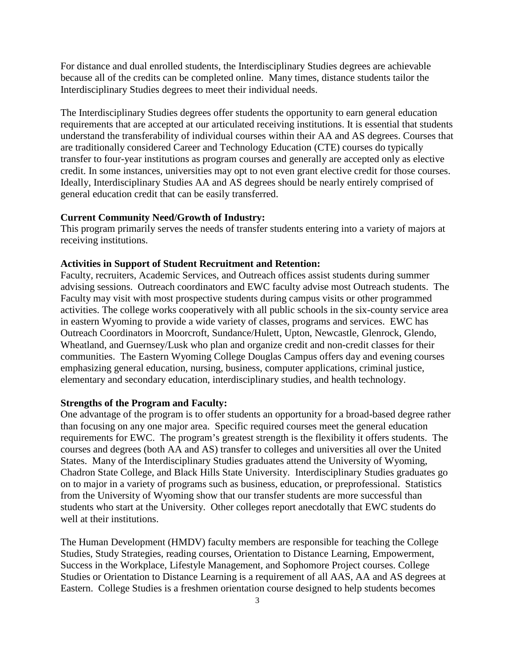For distance and dual enrolled students, the Interdisciplinary Studies degrees are achievable because all of the credits can be completed online. Many times, distance students tailor the Interdisciplinary Studies degrees to meet their individual needs.

The Interdisciplinary Studies degrees offer students the opportunity to earn general education requirements that are accepted at our articulated receiving institutions. It is essential that students understand the transferability of individual courses within their AA and AS degrees. Courses that are traditionally considered Career and Technology Education (CTE) courses do typically transfer to four-year institutions as program courses and generally are accepted only as elective credit. In some instances, universities may opt to not even grant elective credit for those courses. Ideally, Interdisciplinary Studies AA and AS degrees should be nearly entirely comprised of general education credit that can be easily transferred.

#### **Current Community Need/Growth of Industry:**

This program primarily serves the needs of transfer students entering into a variety of majors at receiving institutions.

#### **Activities in Support of Student Recruitment and Retention:**

Faculty, recruiters, Academic Services, and Outreach offices assist students during summer advising sessions. Outreach coordinators and EWC faculty advise most Outreach students. The Faculty may visit with most prospective students during campus visits or other programmed activities. The college works cooperatively with all public schools in the six-county service area in eastern Wyoming to provide a wide variety of classes, programs and services. EWC has Outreach Coordinators in Moorcroft, Sundance/Hulett, Upton, Newcastle, Glenrock, Glendo, Wheatland, and Guernsey/Lusk who plan and organize credit and non-credit classes for their communities. The Eastern Wyoming College Douglas Campus offers day and evening courses emphasizing general education, nursing, business, computer applications, criminal justice, elementary and secondary education, interdisciplinary studies, and health technology.

#### **Strengths of the Program and Faculty:**

One advantage of the program is to offer students an opportunity for a broad-based degree rather than focusing on any one major area. Specific required courses meet the general education requirements for EWC. The program's greatest strength is the flexibility it offers students. The courses and degrees (both AA and AS) transfer to colleges and universities all over the United States. Many of the Interdisciplinary Studies graduates attend the University of Wyoming, Chadron State College, and Black Hills State University. Interdisciplinary Studies graduates go on to major in a variety of programs such as business, education, or preprofessional. Statistics from the University of Wyoming show that our transfer students are more successful than students who start at the University. Other colleges report anecdotally that EWC students do well at their institutions.

The Human Development (HMDV) faculty members are responsible for teaching the College Studies, Study Strategies, reading courses, Orientation to Distance Learning, Empowerment, Success in the Workplace, Lifestyle Management, and Sophomore Project courses. College Studies or Orientation to Distance Learning is a requirement of all AAS, AA and AS degrees at Eastern. College Studies is a freshmen orientation course designed to help students becomes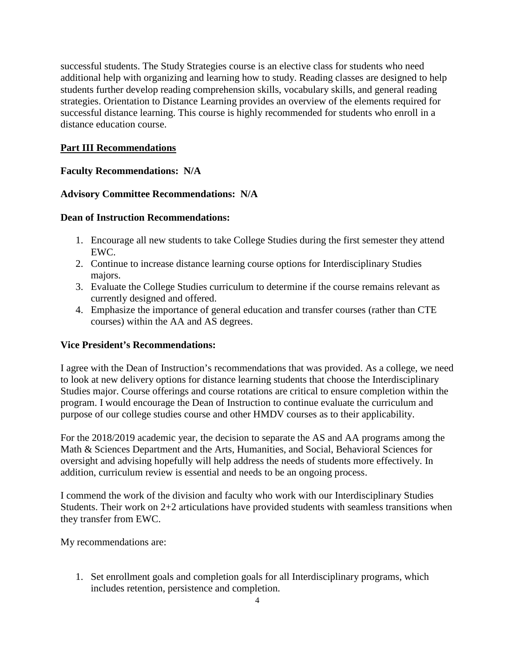successful students. The Study Strategies course is an elective class for students who need additional help with organizing and learning how to study. Reading classes are designed to help students further develop reading comprehension skills, vocabulary skills, and general reading strategies. Orientation to Distance Learning provides an overview of the elements required for successful distance learning. This course is highly recommended for students who enroll in a distance education course.

# **Part III Recommendations**

# **Faculty Recommendations: N/A**

# **Advisory Committee Recommendations: N/A**

# **Dean of Instruction Recommendations:**

- 1. Encourage all new students to take College Studies during the first semester they attend EWC.
- 2. Continue to increase distance learning course options for Interdisciplinary Studies majors.
- 3. Evaluate the College Studies curriculum to determine if the course remains relevant as currently designed and offered.
- 4. Emphasize the importance of general education and transfer courses (rather than CTE courses) within the AA and AS degrees.

# **Vice President's Recommendations:**

I agree with the Dean of Instruction's recommendations that was provided. As a college, we need to look at new delivery options for distance learning students that choose the Interdisciplinary Studies major. Course offerings and course rotations are critical to ensure completion within the program. I would encourage the Dean of Instruction to continue evaluate the curriculum and purpose of our college studies course and other HMDV courses as to their applicability.

For the 2018/2019 academic year, the decision to separate the AS and AA programs among the Math & Sciences Department and the Arts, Humanities, and Social, Behavioral Sciences for oversight and advising hopefully will help address the needs of students more effectively. In addition, curriculum review is essential and needs to be an ongoing process.

I commend the work of the division and faculty who work with our Interdisciplinary Studies Students. Their work on 2+2 articulations have provided students with seamless transitions when they transfer from EWC.

My recommendations are:

1. Set enrollment goals and completion goals for all Interdisciplinary programs, which includes retention, persistence and completion.